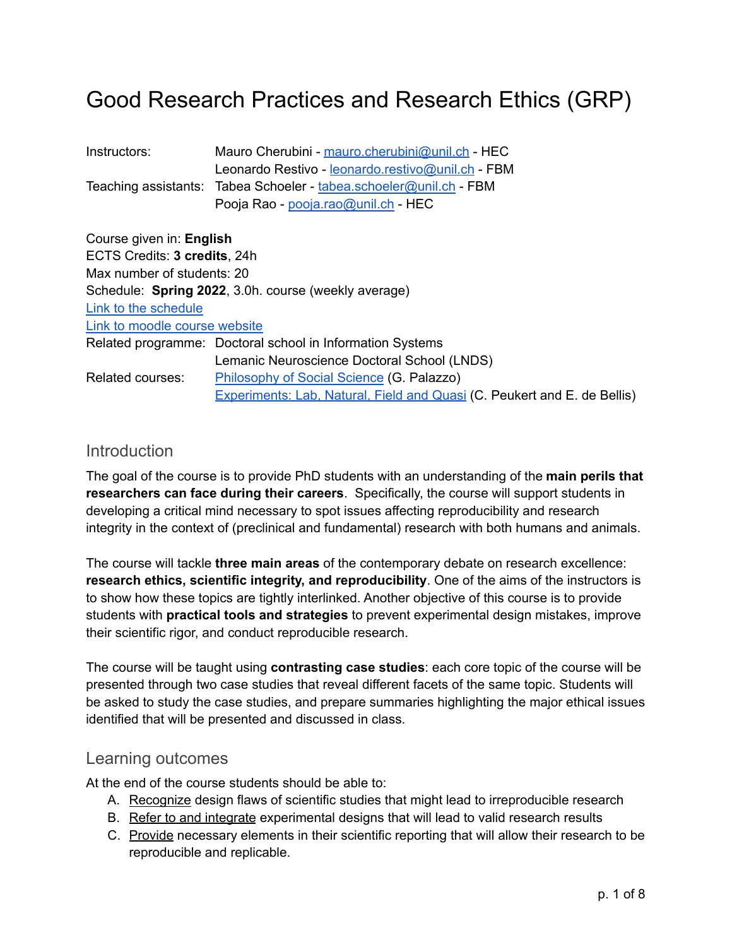# Good Research Practices and Research Ethics (GRP)

| Instructors: | Mauro Cherubini - mauro.cherubini@unil.ch - HEC                    |
|--------------|--------------------------------------------------------------------|
|              | Leonardo Restivo - leonardo.restivo@unil.ch - FBM                  |
|              | Teaching assistants: Tabea Schoeler - tabea.schoeler@unil.ch - FBM |
|              | Pooja Rao - pooja.rao@unil.ch - HEC                                |

| Course given in: English      |                                                                          |  |  |  |
|-------------------------------|--------------------------------------------------------------------------|--|--|--|
| ECTS Credits: 3 credits, 24h  |                                                                          |  |  |  |
| Max number of students: 20    |                                                                          |  |  |  |
|                               | Schedule: Spring 2022, 3.0h. course (weekly average)                     |  |  |  |
| Link to the schedule          |                                                                          |  |  |  |
| Link to moodle course website |                                                                          |  |  |  |
|                               | Related programme: Doctoral school in Information Systems                |  |  |  |
|                               | Lemanic Neuroscience Doctoral School (LNDS)                              |  |  |  |
| Related courses:              | Philosophy of Social Science (G. Palazzo)                                |  |  |  |
|                               | Experiments: Lab, Natural, Field and Quasi (C. Peukert and E. de Bellis) |  |  |  |

## **Introduction**

The goal of the course is to provide PhD students with an understanding of the **main perils that researchers can face during their careers**. Specifically, the course will support students in developing a critical mind necessary to spot issues affecting reproducibility and research integrity in the context of (preclinical and fundamental) research with both humans and animals.

The course will tackle **three main areas** of the contemporary debate on research excellence: **research ethics, scientific integrity, and reproducibility**. One of the aims of the instructors is to show how these topics are tightly interlinked. Another objective of this course is to provide students with **practical tools and strategies** to prevent experimental design mistakes, improve their scientific rigor, and conduct reproducible research.

The course will be taught using **contrasting case studies**: each core topic of the course will be presented through two case studies that reveal different facets of the same topic. Students will be asked to study the case studies, and prepare summaries highlighting the major ethical issues identified that will be presented and discussed in class.

### Learning outcomes

At the end of the course students should be able to:

- A. Recognize design flaws of scientific studies that might lead to irreproducible research
- B. Refer to and integrate experimental designs that will lead to valid research results
- C. Provide necessary elements in their scientific reporting that will allow their research to be reproducible and replicable.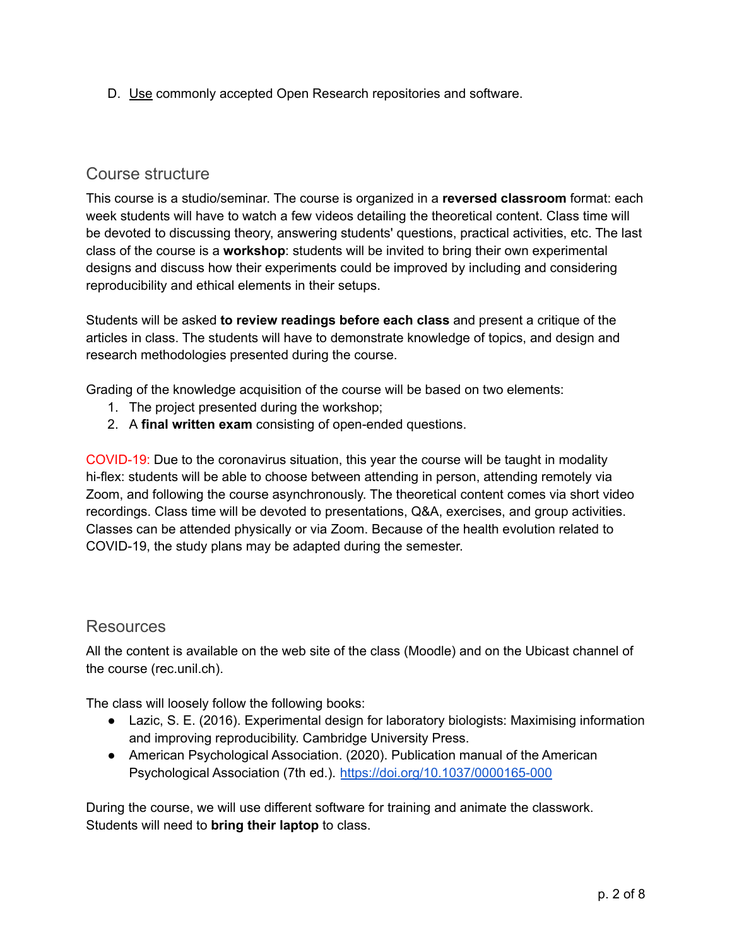D. Use commonly accepted Open Research repositories and software.

# Course structure

This course is a studio/seminar. The course is organized in a **reversed classroom** format: each week students will have to watch a few videos detailing the theoretical content. Class time will be devoted to discussing theory, answering students' questions, practical activities, etc. The last class of the course is a **workshop**: students will be invited to bring their own experimental designs and discuss how their experiments could be improved by including and considering reproducibility and ethical elements in their setups.

Students will be asked **to review readings before each class** and present a critique of the articles in class. The students will have to demonstrate knowledge of topics, and design and research methodologies presented during the course.

Grading of the knowledge acquisition of the course will be based on two elements:

- 1. The project presented during the workshop;
- 2. A **final written exam** consisting of open-ended questions.

COVID-19: Due to the coronavirus situation, this year the course will be taught in modality hi-flex: students will be able to choose between attending in person, attending remotely via Zoom, and following the course asynchronously. The theoretical content comes via short video recordings. Class time will be devoted to presentations, Q&A, exercises, and group activities. Classes can be attended physically or via Zoom. Because of the health evolution related to COVID-19, the study plans may be adapted during the semester.

## **Resources**

All the content is available on the web site of the class (Moodle) and on the Ubicast channel of the course (rec.unil.ch).

The class will loosely follow the following books:

- Lazic, S. E. (2016). Experimental design for laboratory biologists: Maximising information and improving reproducibility. Cambridge University Press.
- American Psychological Association. (2020). Publication manual of the American Psychological Association (7th ed.). <https://doi.org/10.1037/0000165-000>

During the course, we will use different software for training and animate the classwork. Students will need to **bring their laptop** to class.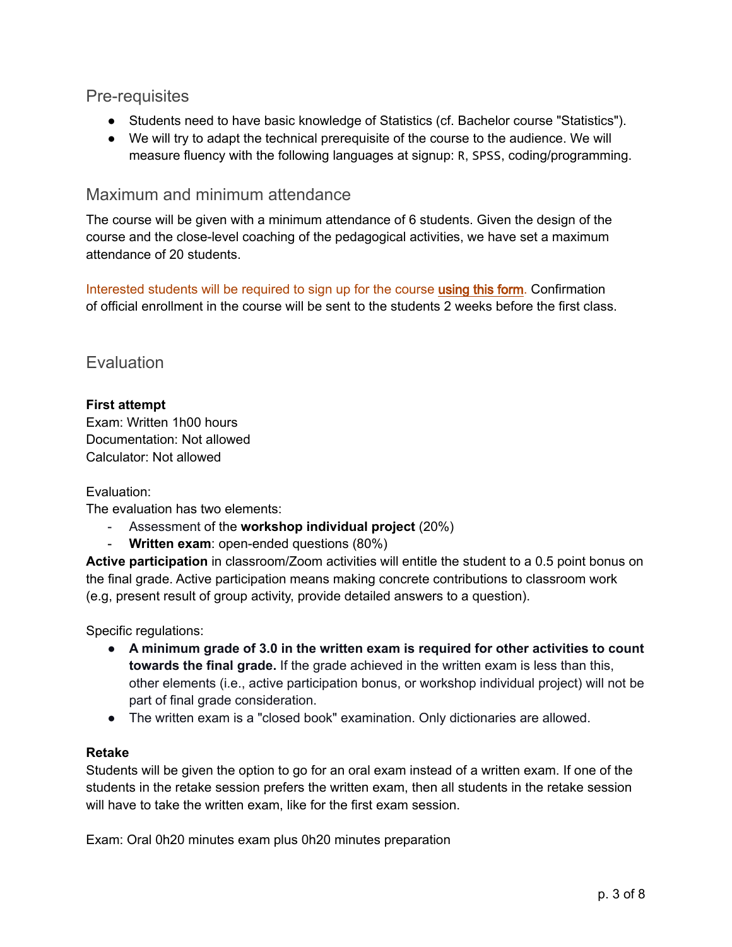# Pre-requisites

- Students need to have basic knowledge of Statistics (cf. Bachelor course "Statistics").
- We will try to adapt the technical prerequisite of the course to the audience. We will measure fluency with the following languages at signup: R, SPSS, coding/programming.

## Maximum and minimum attendance

The course will be given with a minimum attendance of 6 students. Given the design of the course and the close-level coaching of the pedagogical activities, we have set a maximum attendance of 20 students.

Interested students will be required to sign up for the course [using this form](https://forms.gle/6re6LhjG5ritETGQA). Confirmation of official enrollment in the course will be sent to the students 2 weeks before the first class.

## **Evaluation**

#### **First attempt**

Exam: Written 1h00 hours Documentation: Not allowed Calculator: Not allowed

#### Evaluation:

The evaluation has two elements:

- Assessment of the **workshop individual project** (20%)
- **Written exam**: open-ended questions (80%)

**Active participation** in classroom/Zoom activities will entitle the student to a 0.5 point bonus on the final grade. Active participation means making concrete contributions to classroom work (e.g, present result of group activity, provide detailed answers to a question).

Specific regulations:

- **A minimum grade of 3.0 in the written exam is required for other activities to count towards the final grade.** If the grade achieved in the written exam is less than this, other elements (i.e., active participation bonus, or workshop individual project) will not be part of final grade consideration.
- The written exam is a "closed book" examination. Only dictionaries are allowed.

#### **Retake**

Students will be given the option to go for an oral exam instead of a written exam. If one of the students in the retake session prefers the written exam, then all students in the retake session will have to take the written exam, like for the first exam session.

Exam: Oral 0h20 minutes exam plus 0h20 minutes preparation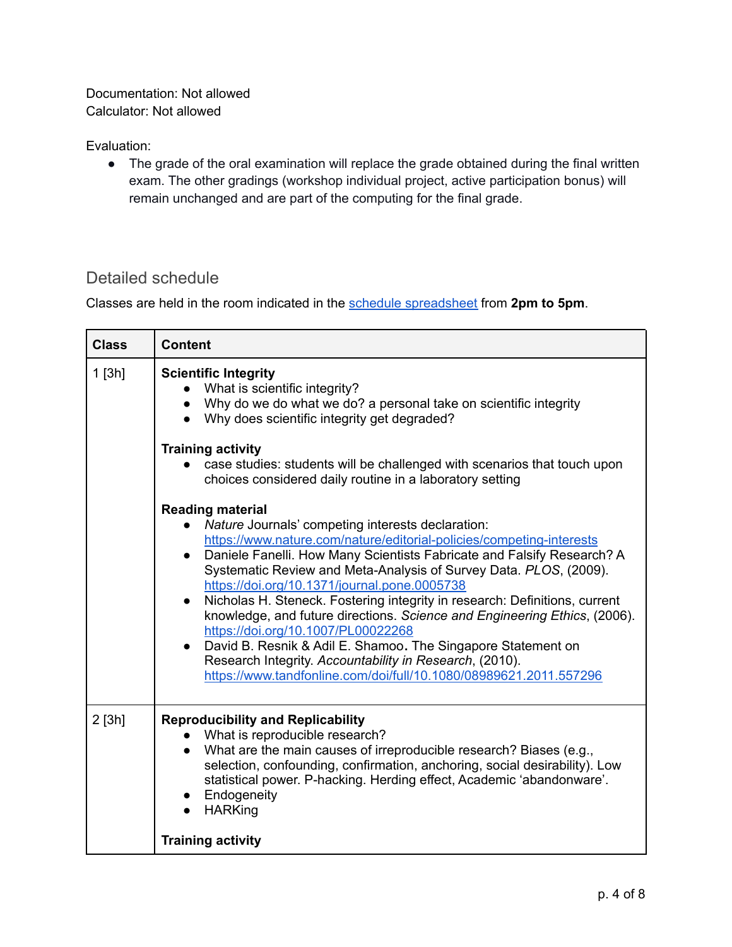Documentation: Not allowed Calculator: Not allowed

Evaluation:

● The grade of the oral examination will replace the grade obtained during the final written exam. The other gradings (workshop individual project, active participation bonus) will remain unchanged and are part of the computing for the final grade.

# Detailed schedule

Classes are held in the room indicated in the schedule [spreadsheet](https://docs.google.com/spreadsheets/d/1naXtSooKCvJlgSI0fvvrlFatq2J7uK2_3WPXSQsbWqU/edit#gid=0) from **2pm to 5pm**.

| <b>Class</b> | <b>Content</b>                                                                                                                                                                                                                                                                                                                                                                                                                                                                                                                                                                                                                                                                                                                                                    |
|--------------|-------------------------------------------------------------------------------------------------------------------------------------------------------------------------------------------------------------------------------------------------------------------------------------------------------------------------------------------------------------------------------------------------------------------------------------------------------------------------------------------------------------------------------------------------------------------------------------------------------------------------------------------------------------------------------------------------------------------------------------------------------------------|
| $1$ [3h]     | <b>Scientific Integrity</b><br>What is scientific integrity?<br>• Why do we do what we do? a personal take on scientific integrity<br>• Why does scientific integrity get degraded?<br><b>Training activity</b><br>case studies: students will be challenged with scenarios that touch upon<br>choices considered daily routine in a laboratory setting                                                                                                                                                                                                                                                                                                                                                                                                           |
|              | <b>Reading material</b><br>Nature Journals' competing interests declaration:<br>https://www.nature.com/nature/editorial-policies/competing-interests<br>Daniele Fanelli. How Many Scientists Fabricate and Falsify Research? A<br>Systematic Review and Meta-Analysis of Survey Data. PLOS, (2009).<br>https://doi.org/10.1371/journal.pone.0005738<br>Nicholas H. Steneck. Fostering integrity in research: Definitions, current<br>$\bullet$<br>knowledge, and future directions. Science and Engineering Ethics, (2006).<br>https://doi.org/10.1007/PL00022268<br>David B. Resnik & Adil E. Shamoo. The Singapore Statement on<br>Research Integrity. Accountability in Research, (2010).<br>https://www.tandfonline.com/doi/full/10.1080/08989621.2011.557296 |
| 2 [3h]       | <b>Reproducibility and Replicability</b><br>What is reproducible research?<br>What are the main causes of irreproducible research? Biases (e.g.,<br>selection, confounding, confirmation, anchoring, social desirability). Low<br>statistical power. P-hacking. Herding effect, Academic 'abandonware'.<br>• Endogeneity<br><b>HARKing</b><br><b>Training activity</b>                                                                                                                                                                                                                                                                                                                                                                                            |
|              |                                                                                                                                                                                                                                                                                                                                                                                                                                                                                                                                                                                                                                                                                                                                                                   |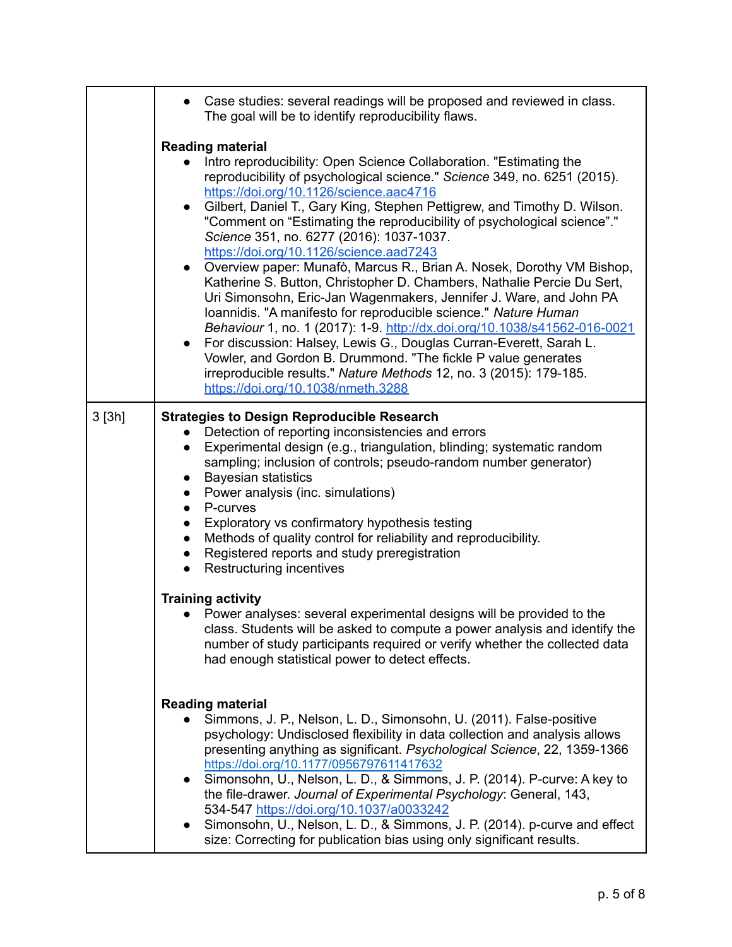|       | Case studies: several readings will be proposed and reviewed in class.<br>The goal will be to identify reproducibility flaws.                                                                                                                                                                                                                                                                                                                                                                                                                                                                                                                                                                                                                                                                                                                                                                                                                                                                                                                                                                                                         |  |  |  |  |
|-------|---------------------------------------------------------------------------------------------------------------------------------------------------------------------------------------------------------------------------------------------------------------------------------------------------------------------------------------------------------------------------------------------------------------------------------------------------------------------------------------------------------------------------------------------------------------------------------------------------------------------------------------------------------------------------------------------------------------------------------------------------------------------------------------------------------------------------------------------------------------------------------------------------------------------------------------------------------------------------------------------------------------------------------------------------------------------------------------------------------------------------------------|--|--|--|--|
|       | <b>Reading material</b><br>Intro reproducibility: Open Science Collaboration. "Estimating the<br>reproducibility of psychological science." Science 349, no. 6251 (2015).<br>https://doi.org/10.1126/science.aac4716<br>Gilbert, Daniel T., Gary King, Stephen Pettigrew, and Timothy D. Wilson.<br>$\bullet$<br>"Comment on "Estimating the reproducibility of psychological science"."<br>Science 351, no. 6277 (2016): 1037-1037.<br>https://doi.org/10.1126/science.aad7243<br>Overview paper: Munafò, Marcus R., Brian A. Nosek, Dorothy VM Bishop,<br>$\bullet$<br>Katherine S. Button, Christopher D. Chambers, Nathalie Percie Du Sert,<br>Uri Simonsohn, Eric-Jan Wagenmakers, Jennifer J. Ware, and John PA<br>Ioannidis. "A manifesto for reproducible science." Nature Human<br>Behaviour 1, no. 1 (2017): 1-9. http://dx.doi.org/10.1038/s41562-016-0021<br>For discussion: Halsey, Lewis G., Douglas Curran-Everett, Sarah L.<br>$\bullet$<br>Vowler, and Gordon B. Drummond. "The fickle P value generates<br>irreproducible results." Nature Methods 12, no. 3 (2015): 179-185.<br>https://doi.org/10.1038/nmeth.3288 |  |  |  |  |
| 3[3h] | <b>Strategies to Design Reproducible Research</b><br>Detection of reporting inconsistencies and errors<br>Experimental design (e.g., triangulation, blinding; systematic random<br>sampling; inclusion of controls; pseudo-random number generator)<br><b>Bayesian statistics</b><br>$\bullet$<br>Power analysis (inc. simulations)<br>$\bullet$<br>P-curves<br>$\bullet$<br>Exploratory vs confirmatory hypothesis testing<br>$\bullet$<br>Methods of quality control for reliability and reproducibility.<br>$\bullet$<br>Registered reports and study preregistration<br>$\bullet$<br>Restructuring incentives                                                                                                                                                                                                                                                                                                                                                                                                                                                                                                                     |  |  |  |  |
|       | <b>Training activity</b><br>Power analyses: several experimental designs will be provided to the<br>class. Students will be asked to compute a power analysis and identify the<br>number of study participants required or verify whether the collected data<br>had enough statistical power to detect effects.                                                                                                                                                                                                                                                                                                                                                                                                                                                                                                                                                                                                                                                                                                                                                                                                                       |  |  |  |  |
|       | <b>Reading material</b><br>Simmons, J. P., Nelson, L. D., Simonsohn, U. (2011). False-positive<br>psychology: Undisclosed flexibility in data collection and analysis allows<br>presenting anything as significant. Psychological Science, 22, 1359-1366<br>https://doi.org/10.1177/0956797611417632<br>Simonsohn, U., Nelson, L. D., & Simmons, J. P. (2014). P-curve: A key to<br>$\bullet$<br>the file-drawer. Journal of Experimental Psychology: General, 143,<br>534-547 https://doi.org/10.1037/a0033242<br>Simonsohn, U., Nelson, L. D., & Simmons, J. P. (2014). p-curve and effect<br>$\bullet$<br>size: Correcting for publication bias using only significant results.                                                                                                                                                                                                                                                                                                                                                                                                                                                    |  |  |  |  |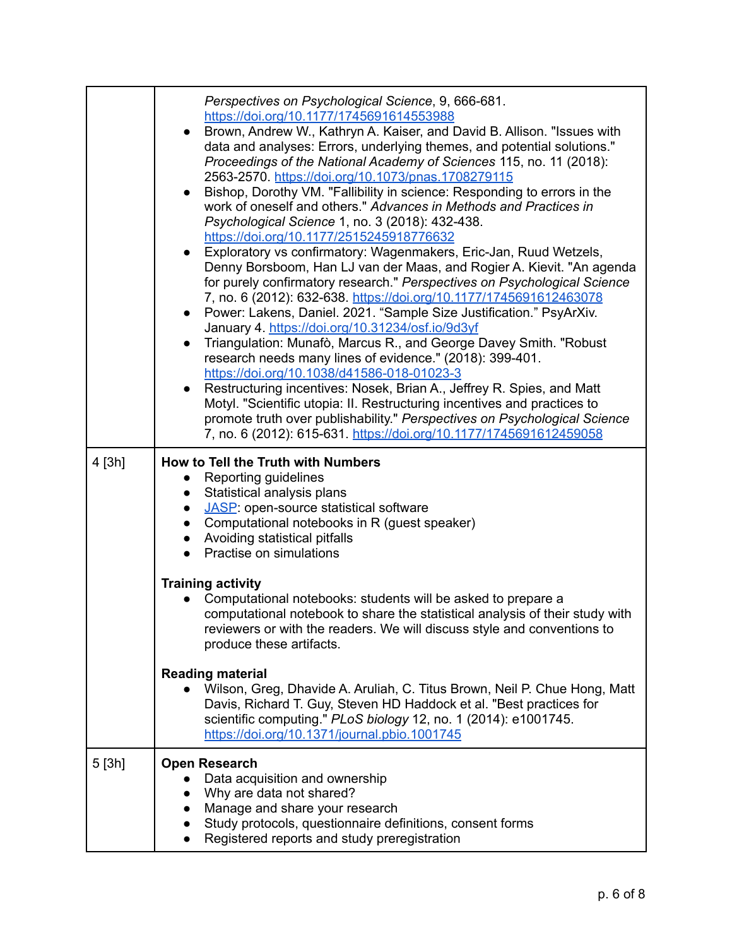|        | Perspectives on Psychological Science, 9, 666-681.<br>https://doi.org/10.1177/1745691614553988<br>Brown, Andrew W., Kathryn A. Kaiser, and David B. Allison. "Issues with<br>data and analyses: Errors, underlying themes, and potential solutions."<br>Proceedings of the National Academy of Sciences 115, no. 11 (2018):<br>2563-2570. https://doi.org/10.1073/pnas.1708279115<br>Bishop, Dorothy VM. "Fallibility in science: Responding to errors in the<br>work of oneself and others." Advances in Methods and Practices in<br>Psychological Science 1, no. 3 (2018): 432-438.<br>https://doi.org/10.1177/2515245918776632<br>Exploratory vs confirmatory: Wagenmakers, Eric-Jan, Ruud Wetzels,<br>$\bullet$<br>Denny Borsboom, Han LJ van der Maas, and Rogier A. Kievit. "An agenda<br>for purely confirmatory research." Perspectives on Psychological Science<br>7, no. 6 (2012): 632-638. https://doi.org/10.1177/1745691612463078<br>Power: Lakens, Daniel. 2021. "Sample Size Justification." PsyArXiv.<br>$\bullet$<br>January 4. https://doi.org/10.31234/osf.io/9d3yf<br>Triangulation: Munafò, Marcus R., and George Davey Smith. "Robust<br>$\bullet$<br>research needs many lines of evidence." (2018): 399-401.<br>https://doi.org/10.1038/d41586-018-01023-3<br>Restructuring incentives: Nosek, Brian A., Jeffrey R. Spies, and Matt<br>$\bullet$<br>Motyl. "Scientific utopia: II. Restructuring incentives and practices to<br>promote truth over publishability." Perspectives on Psychological Science<br>7, no. 6 (2012): 615-631. https://doi.org/10.1177/1745691612459058 |
|--------|---------------------------------------------------------------------------------------------------------------------------------------------------------------------------------------------------------------------------------------------------------------------------------------------------------------------------------------------------------------------------------------------------------------------------------------------------------------------------------------------------------------------------------------------------------------------------------------------------------------------------------------------------------------------------------------------------------------------------------------------------------------------------------------------------------------------------------------------------------------------------------------------------------------------------------------------------------------------------------------------------------------------------------------------------------------------------------------------------------------------------------------------------------------------------------------------------------------------------------------------------------------------------------------------------------------------------------------------------------------------------------------------------------------------------------------------------------------------------------------------------------------------------------------------------------------------------------------------------------|
| 4 [3h] | How to Tell the Truth with Numbers<br>Reporting guidelines<br>Statistical analysis plans<br>$\bullet$<br>JASP: open-source statistical software<br>• Computational notebooks in R (guest speaker)<br>• Avoiding statistical pitfalls<br>Practise on simulations                                                                                                                                                                                                                                                                                                                                                                                                                                                                                                                                                                                                                                                                                                                                                                                                                                                                                                                                                                                                                                                                                                                                                                                                                                                                                                                                         |
|        | <b>Training activity</b><br>Computational notebooks: students will be asked to prepare a<br>computational notebook to share the statistical analysis of their study with<br>reviewers or with the readers. We will discuss style and conventions to<br>produce these artifacts.                                                                                                                                                                                                                                                                                                                                                                                                                                                                                                                                                                                                                                                                                                                                                                                                                                                                                                                                                                                                                                                                                                                                                                                                                                                                                                                         |
|        | <b>Reading material</b><br>Wilson, Greg, Dhavide A. Aruliah, C. Titus Brown, Neil P. Chue Hong, Matt<br>Davis, Richard T. Guy, Steven HD Haddock et al. "Best practices for<br>scientific computing." PLoS biology 12, no. 1 (2014): e1001745.<br>https://doi.org/10.1371/journal.pbio.1001745                                                                                                                                                                                                                                                                                                                                                                                                                                                                                                                                                                                                                                                                                                                                                                                                                                                                                                                                                                                                                                                                                                                                                                                                                                                                                                          |
| 5[3h]  | <b>Open Research</b><br>Data acquisition and ownership<br>Why are data not shared?<br>$\bullet$<br>Manage and share your research<br>$\bullet$<br>Study protocols, questionnaire definitions, consent forms<br>$\bullet$<br>Registered reports and study preregistration<br>$\bullet$                                                                                                                                                                                                                                                                                                                                                                                                                                                                                                                                                                                                                                                                                                                                                                                                                                                                                                                                                                                                                                                                                                                                                                                                                                                                                                                   |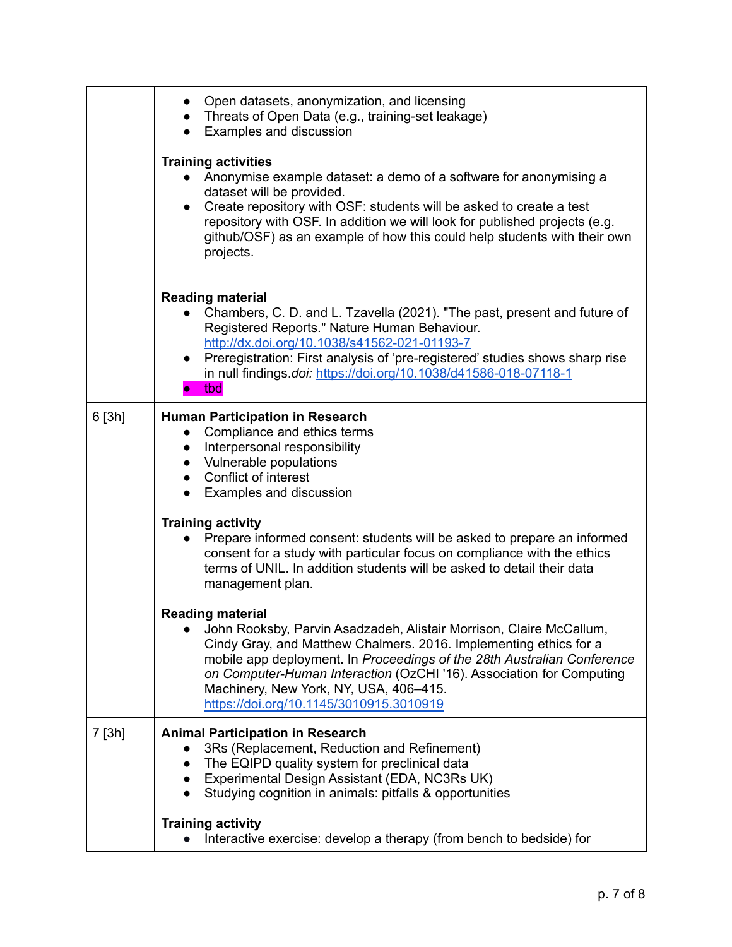|        | Open datasets, anonymization, and licensing<br>• Threats of Open Data (e.g., training-set leakage)<br>Examples and discussion<br>$\bullet$                                                                                                                                                                                                                                                                  |  |  |  |  |
|--------|-------------------------------------------------------------------------------------------------------------------------------------------------------------------------------------------------------------------------------------------------------------------------------------------------------------------------------------------------------------------------------------------------------------|--|--|--|--|
|        | <b>Training activities</b><br>Anonymise example dataset: a demo of a software for anonymising a<br>dataset will be provided.<br>• Create repository with OSF: students will be asked to create a test<br>repository with OSF. In addition we will look for published projects (e.g.<br>github/OSF) as an example of how this could help students with their own<br>projects.                                |  |  |  |  |
|        | <b>Reading material</b><br>Chambers, C. D. and L. Tzavella (2021). "The past, present and future of<br>Registered Reports." Nature Human Behaviour.<br>http://dx.doi.org/10.1038/s41562-021-01193-7<br>Preregistration: First analysis of 'pre-registered' studies shows sharp rise<br>$\bullet$<br>in null findings.doi: https://doi.org/10.1038/d41586-018-07118-1<br>tbd                                 |  |  |  |  |
| 6[3h]  | <b>Human Participation in Research</b><br>Compliance and ethics terms<br>$\bullet$<br>Interpersonal responsibility<br>$\bullet$<br>• Vulnerable populations<br>• Conflict of interest<br>• Examples and discussion                                                                                                                                                                                          |  |  |  |  |
|        | <b>Training activity</b><br>Prepare informed consent: students will be asked to prepare an informed<br>consent for a study with particular focus on compliance with the ethics<br>terms of UNIL. In addition students will be asked to detail their data<br>management plan.                                                                                                                                |  |  |  |  |
|        | <b>Reading material</b><br>John Rooksby, Parvin Asadzadeh, Alistair Morrison, Claire McCallum,<br>Cindy Gray, and Matthew Chalmers. 2016. Implementing ethics for a<br>mobile app deployment. In Proceedings of the 28th Australian Conference<br>on Computer-Human Interaction (OzCHI '16). Association for Computing<br>Machinery, New York, NY, USA, 406-415.<br>https://doi.org/10.1145/3010915.3010919 |  |  |  |  |
| 7 [3h] | <b>Animal Participation in Research</b><br>3Rs (Replacement, Reduction and Refinement)<br>The EQIPD quality system for preclinical data<br>$\bullet$<br>Experimental Design Assistant (EDA, NC3Rs UK)<br>$\bullet$<br>Studying cognition in animals: pitfalls & opportunities<br>$\bullet$                                                                                                                  |  |  |  |  |
|        | <b>Training activity</b><br>Interactive exercise: develop a therapy (from bench to bedside) for                                                                                                                                                                                                                                                                                                             |  |  |  |  |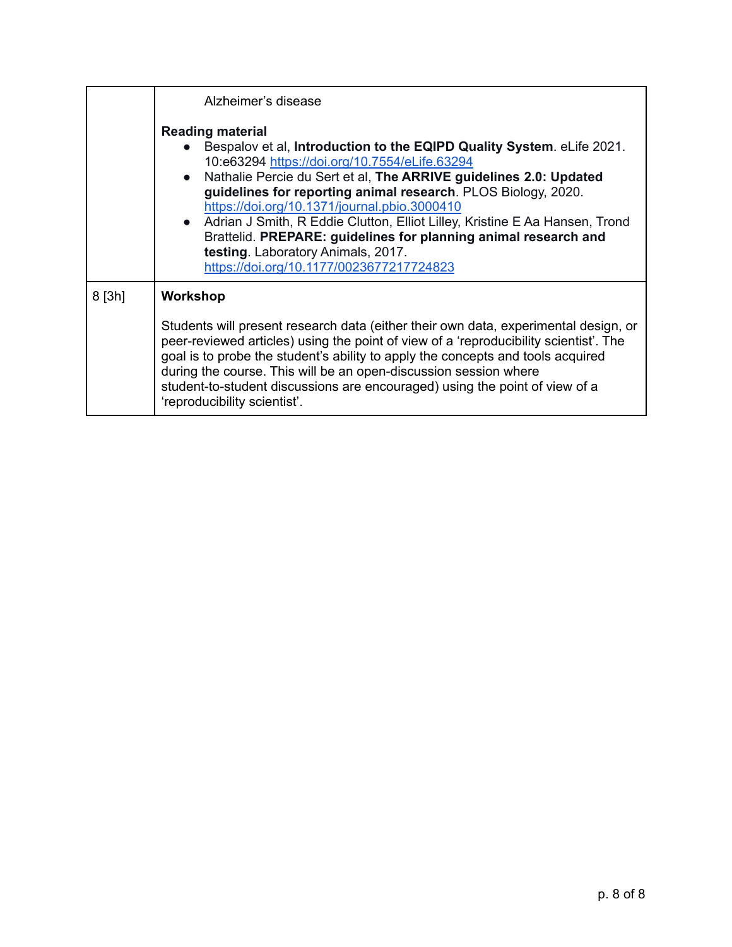|          | Alzheimer's disease                                                                                                                                                                                                                                                                                                                                                                                                                                                                                                                                                             |  |  |  |  |
|----------|---------------------------------------------------------------------------------------------------------------------------------------------------------------------------------------------------------------------------------------------------------------------------------------------------------------------------------------------------------------------------------------------------------------------------------------------------------------------------------------------------------------------------------------------------------------------------------|--|--|--|--|
|          | <b>Reading material</b><br>Bespalov et al, Introduction to the EQIPD Quality System. eLife 2021.<br>10:e63294 https://doi.org/10.7554/eLife.63294<br>• Nathalie Percie du Sert et al, The ARRIVE guidelines 2.0: Updated<br>guidelines for reporting animal research. PLOS Biology, 2020.<br>https://doi.org/10.1371/journal.pbio.3000410<br>• Adrian J Smith, R Eddie Clutton, Elliot Lilley, Kristine E Aa Hansen, Trond<br>Brattelid. PREPARE: guidelines for planning animal research and<br>testing. Laboratory Animals, 2017.<br>https://doi.org/10.1177/0023677217724823 |  |  |  |  |
| $8$ [3h] | Workshop<br>Students will present research data (either their own data, experimental design, or<br>peer-reviewed articles) using the point of view of a 'reproducibility scientist'. The<br>goal is to probe the student's ability to apply the concepts and tools acquired<br>during the course. This will be an open-discussion session where<br>student-to-student discussions are encouraged) using the point of view of a<br>'reproducibility scientist'.                                                                                                                  |  |  |  |  |